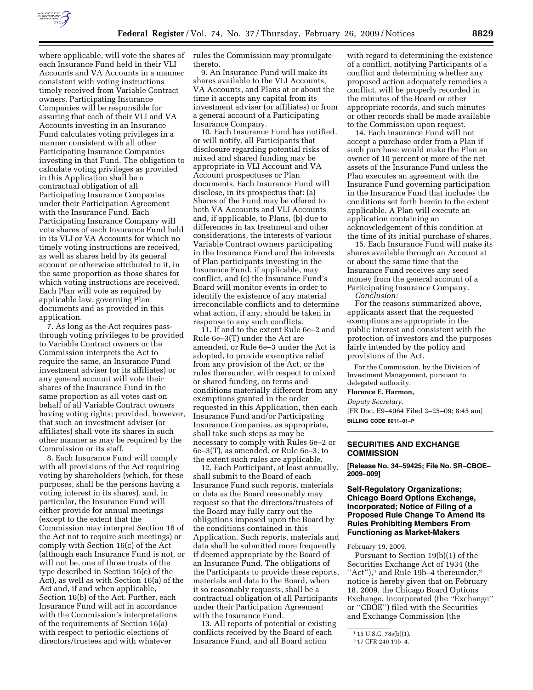

where applicable, will vote the shares of each Insurance Fund held in their VLI Accounts and VA Accounts in a manner consistent with voting instructions timely received from Variable Contract owners. Participating Insurance Companies will be responsible for assuring that each of their VLI and VA Accounts investing in an Insurance Fund calculates voting privileges in a manner consistent with all other Participating Insurance Companies investing in that Fund. The obligation to calculate voting privileges as provided in this Application shall be a contractual obligation of all Participating Insurance Companies under their Participation Agreement with the Insurance Fund. Each Participating Insurance Company will vote shares of each Insurance Fund held in its VLI or VA Accounts for which no timely voting instructions are received, as well as shares held by its general account or otherwise attributed to it, in the same proportion as those shares for which voting instructions are received. Each Plan will vote as required by applicable law, governing Plan documents and as provided in this application.

7. As long as the Act requires passthrough voting privileges to be provided to Variable Contract owners or the Commission interprets the Act to require the same, an Insurance Fund investment adviser (or its affiliates) or any general account will vote their shares of the Insurance Fund in the same proportion as all votes cast on behalf of all Variable Contract owners having voting rights; provided, however, that such an investment adviser (or affiliates) shall vote its shares in such other manner as may be required by the Commission or its staff.

8. Each Insurance Fund will comply with all provisions of the Act requiring voting by shareholders (which, for these purposes, shall be the persons having a voting interest in its shares), and, in particular, the Insurance Fund will either provide for annual meetings (except to the extent that the Commission may interpret Section 16 of the Act not to require such meetings) or comply with Section 16(c) of the Act (although each Insurance Fund is not, or will not be, one of those trusts of the type described in Section 16(c) of the Act), as well as with Section 16(a) of the Act and, if and when applicable, Section 16(b) of the Act. Further, each Insurance Fund will act in accordance with the Commission's interpretations of the requirements of Section 16(a) with respect to periodic elections of directors/trustees and with whatever

rules the Commission may promulgate thereto.

9. An Insurance Fund will make its shares available to the VLI Accounts, VA Accounts, and Plans at or about the time it accepts any capital from its investment adviser (or affiliates) or from a general account of a Participating Insurance Company.

10. Each Insurance Fund has notified, or will notify, all Participants that disclosure regarding potential risks of mixed and shared funding may be appropriate in VLI Account and VA Account prospectuses or Plan documents. Each Insurance Fund will disclose, in its prospectus that: (a) Shares of the Fund may be offered to both VA Accounts and VLI Accounts and, if applicable, to Plans, (b) due to differences in tax treatment and other considerations, the interests of various Variable Contract owners participating in the Insurance Fund and the interests of Plan participants investing in the Insurance Fund, if applicable, may conflict, and (c) the Insurance Fund's Board will monitor events in order to identify the existence of any material irreconcilable conflicts and to determine what action, if any, should be taken in response to any such conflicts.

11. If and to the extent Rule 6e–2 and Rule 6e–3(T) under the Act are amended, or Rule 6e–3 under the Act is adopted, to provide exemptive relief from any provision of the Act, or the rules thereunder, with respect to mixed or shared funding, on terms and conditions materially different from any exemptions granted in the order requested in this Application, then each Insurance Fund and/or Participating Insurance Companies, as appropriate, shall take such steps as may be necessary to comply with Rules 6e–2 or 6e–3(T), as amended, or Rule 6e–3, to the extent such rules are applicable.

12. Each Participant, at least annually, shall submit to the Board of each Insurance Fund such reports, materials or data as the Board reasonably may request so that the directors/trustees of the Board may fully carry out the obligations imposed upon the Board by the conditions contained in this Application. Such reports, materials and data shall be submitted more frequently if deemed appropriate by the Board of an Insurance Fund. The obligations of the Participants to provide these reports, materials and data to the Board, when it so reasonably requests, shall be a contractual obligation of all Participants under their Participation Agreement with the Insurance Fund.

13. All reports of potential or existing conflicts received by the Board of each Insurance Fund, and all Board action

with regard to determining the existence of a conflict, notifying Participants of a conflict and determining whether any proposed action adequately remedies a conflict, will be properly recorded in the minutes of the Board or other appropriate records, and such minutes or other records shall be made available to the Commission upon request.

14. Each Insurance Fund will not accept a purchase order from a Plan if such purchase would make the Plan an owner of 10 percent or more of the net assets of the Insurance Fund unless the Plan executes an agreement with the Insurance Fund governing participation in the Insurance Fund that includes the conditions set forth herein to the extent applicable. A Plan will execute an application containing an acknowledgement of this condition at the time of its initial purchase of shares.

15. Each Insurance Fund will make its shares available through an Account at or about the same time that the Insurance Fund receives any seed money from the general account of a Participating Insurance Company. *Conclusion:* 

For the reasons summarized above, applicants assert that the requested exemptions are appropriate in the public interest and consistent with the protection of investors and the purposes fairly intended by the policy and provisions of the Act.

For the Commission, by the Division of Investment Management, pursuant to delegated authority.

#### **Florence E. Harmon,**

*Deputy Secretary.* 

[FR Doc. E9–4064 Filed 2–25–09; 8:45 am] **BILLING CODE 8011–01–P** 

# **SECURITIES AND EXCHANGE COMMISSION**

**[Release No. 34–59425; File No. SR–CBOE– 2009–009]** 

# **Self-Regulatory Organizations; Chicago Board Options Exchange, Incorporated; Notice of Filing of a Proposed Rule Change To Amend Its Rules Prohibiting Members From Functioning as Market-Makers**

February 19, 2009.

Pursuant to Section 19(b)(1) of the Securities Exchange Act of 1934 (the "Act"), $\frac{1}{1}$  and Rule 19b–4 thereunder, $\frac{2}{1}$ notice is hereby given that on February 18, 2009, the Chicago Board Options Exchange, Incorporated (the ''Exchange'' or ''CBOE'') filed with the Securities and Exchange Commission (the

<sup>1</sup> 15 U.S.C. 78s(b)(1).

<sup>2</sup> 17 CFR 240.19b–4.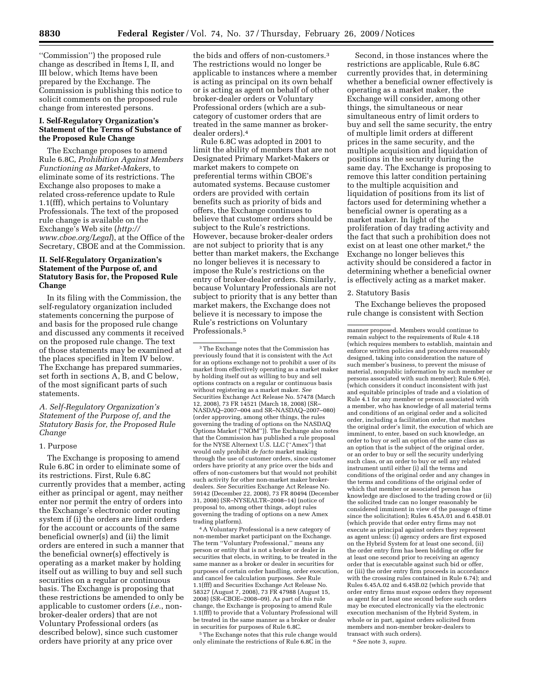''Commission'') the proposed rule change as described in Items I, II, and III below, which Items have been prepared by the Exchange. The Commission is publishing this notice to solicit comments on the proposed rule change from interested persons.

# **I. Self-Regulatory Organization's Statement of the Terms of Substance of the Proposed Rule Change**

The Exchange proposes to amend Rule 6.8C, *Prohibition Against Members Functioning as Market-Makers*, to eliminate some of its restrictions. The Exchange also proposes to make a related cross-reference update to Rule 1.1(fff), which pertains to Voluntary Professionals. The text of the proposed rule change is available on the Exchange's Web site (*http:// www.cboe.org/Legal*), at the Office of the Secretary, CBOE and at the Commission.

# **II. Self-Regulatory Organization's Statement of the Purpose of, and Statutory Basis for, the Proposed Rule Change**

In its filing with the Commission, the self-regulatory organization included statements concerning the purpose of and basis for the proposed rule change and discussed any comments it received on the proposed rule change. The text of those statements may be examined at the places specified in Item IV below. The Exchange has prepared summaries, set forth in sections A, B, and C below, of the most significant parts of such statements.

*A. Self-Regulatory Organization's Statement of the Purpose of, and the Statutory Basis for, the Proposed Rule Change* 

### 1. Purpose

The Exchange is proposing to amend Rule 6.8C in order to eliminate some of its restrictions. First, Rule 6.8C currently provides that a member, acting either as principal or agent, may neither enter nor permit the entry of orders into the Exchange's electronic order routing system if (i) the orders are limit orders for the account or accounts of the same beneficial owner(s) and (ii) the limit orders are entered in such a manner that the beneficial owner(s) effectively is operating as a market maker by holding itself out as willing to buy and sell such securities on a regular or continuous basis. The Exchange is proposing that these restrictions be amended to only be applicable to customer orders (*i.e.*, nonbroker-dealer orders) that are not Voluntary Professional orders (as described below), since such customer orders have priority at any price over

the bids and offers of non-customers<sup>3</sup> The restrictions would no longer be applicable to instances where a member is acting as principal on its own behalf or is acting as agent on behalf of other broker-dealer orders or Voluntary Professional orders (which are a subcategory of customer orders that are treated in the same manner as brokerdealer orders).4

Rule 6.8C was adopted in 2001 to limit the ability of members that are not Designated Primary Market-Makers or market makers to compete on preferential terms within CBOE's automated systems. Because customer orders are provided with certain benefits such as priority of bids and offers, the Exchange continues to believe that customer orders should be subject to the Rule's restrictions. However, because broker-dealer orders are not subject to priority that is any better than market makers, the Exchange no longer believes it is necessary to impose the Rule's restrictions on the entry of broker-dealer orders. Similarly, because Voluntary Professionals are not subject to priority that is any better than market makers, the Exchange does not believe it is necessary to impose the Rule's restrictions on Voluntary Professionals.5

3The Exchange notes that the Commission has previously found that it is consistent with the Act for an options exchange not to prohibit a user of its market from effectively operating as a market maker by holding itself out as willing to buy and sell options contracts on a regular or continuous basis without registering as a market maker. *See*  Securities Exchange Act Release No. 57478 (March 12, 2008), 73 FR 14521 (March 18, 2008) (SR– NASDAQ–2007–004 and SR–NASDAQ–2007–080) (order approving, among other things, the rules governing the trading of options on the NASDAQ Options Market (''NOM'')). The Exchange also notes that the Commission has published a rule proposal for the NYSE Alternext U.S. LLC (''Amex'') that would only prohibit *de facto* market making through the use of customer orders, since customer orders have priority at any price over the bids and offers of non-customers but that would not prohibit such activity for other non-market maker brokerdealers. *See* Securities Exchange Act Release No. 59142 (December 22, 2008), 73 FR 80494 (December 31, 2008) (SR–NYSEALTR–2008–14) (notice of proposal to, among other things, adopt rules governing the trading of options on a new Amex trading platform).

4A Voluntary Professional is a new category of non-member market participant on the Exchange. The term ''Voluntary Professional,'' means any person or entity that is not a broker or dealer in securities that elects, in writing, to be treated in the same manner as a broker or dealer in securities for purposes of certain order handling, order execution, and cancel fee calculation purposes. *See* Rule 1.1(fff) and Securities Exchange Act Release No. 58327 (August 7, 2008), 73 FR 47988 (August 15, 2008) (SR–CBOE–2008–09). As part of this rule change, the Exchange is proposing to amend Rule 1.1(fff) to provide that a Voluntary Professional will be treated in the same manner as a broker or dealer in securities for purposes of Rule 6.8C.

5The Exchange notes that this rule change would only eliminate the restrictions of Rule 6.8C in the

Second, in those instances where the restrictions are applicable, Rule 6.8C currently provides that, in determining whether a beneficial owner effectively is operating as a market maker, the Exchange will consider, among other things, the simultaneous or near simultaneous entry of limit orders to buy and sell the same security, the entry of multiple limit orders at different prices in the same security, and the multiple acquisition and liquidation of positions in the security during the same day. The Exchange is proposing to remove this latter condition pertaining to the multiple acquisition and liquidation of positions from its list of factors used for determining whether a beneficial owner is operating as a market maker. In light of the proliferation of day trading activity and the fact that such a prohibition does not exist on at least one other market,<sup>6</sup> the Exchange no longer believes this activity should be considered a factor in determining whether a beneficial owner is effectively acting as a market maker.

### 2. Statutory Basis

The Exchange believes the proposed rule change is consistent with Section

6*See* note 3, *supra.* 

manner proposed. Members would continue to remain subject to the requirements of Rule 4.18 (which requires members to establish, maintain and enforce written policies and procedures reasonably designed, taking into consideration the nature of such member's business, to prevent the misuse of material, nonpublic information by such member or persons associated with such member); Rule 6.9(e), (which considers it conduct inconsistent with just and equitable principles of trade and a violation of Rule 4.1 for any member or person associated with a member, who has knowledge of all material terms and conditions of an original order and a solicited order, including a facilitation order, that matches the original order's limit, the execution of which are imminent, to enter, based on such knowledge, an order to buy or sell an option of the same class as an option that is the subject of the original order, or an order to buy or sell the security underlying such class, or an order to buy or sell any related instrument until either (i) all the terms and conditions of the original order and any changes in the terms and conditions of the original order of which that member or associated person has knowledge are disclosed to the trading crowd or (ii) the solicited trade can no longer reasonably be considered imminent in view of the passage of time since the solicitation); Rules 6.45A.01 and 6.45B.01 (which provide that order entry firms may not execute as principal against orders they represent as agent unless: (i) agency orders are first exposed on the Hybrid System for at least one second, (ii) the order entry firm has been bidding or offer for at least one second prior to receiving an agency order that is executable against such bid or offer, or (iii) the order entry firm proceeds in accordance with the crossing rules contained in Rule 6.74); and Rules 6.45A.02 and 6.45B.02 (which provide that order entry firms must expose orders they represent as agent for at least one second before such orders may be executed electronically via the electronic execution mechanism of the Hybrid System, in whole or in part, against orders solicited from members and non-member broker-dealers to transact with such orders).